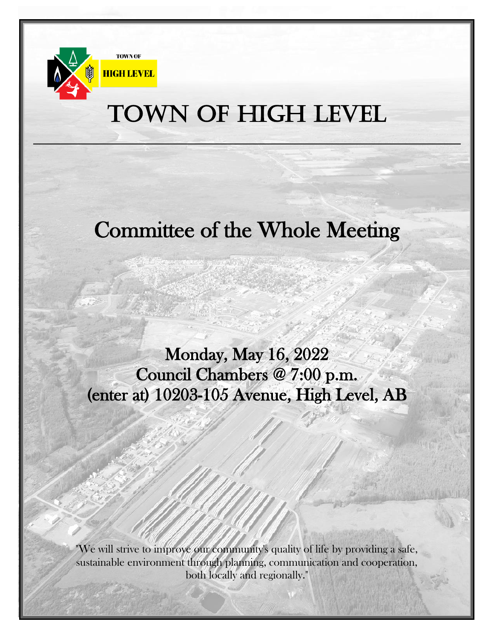

## TOWN OF HIGH LEVEL

## Committee of the Whole Meeting

Monday, May 16, 2022 Council Chambers @ 7:00 p.m. (enter at) 10203-105 Avenue, High Level, AB

"We will strive to improve our community's quality of life by providing a safe, sustainable environment through planning, communication and cooperation, both locally and regionally."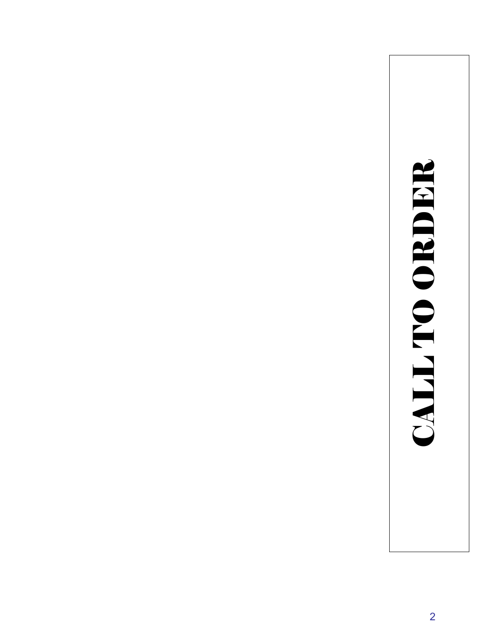## **SHIRIO ORDER** CALL TO ORDER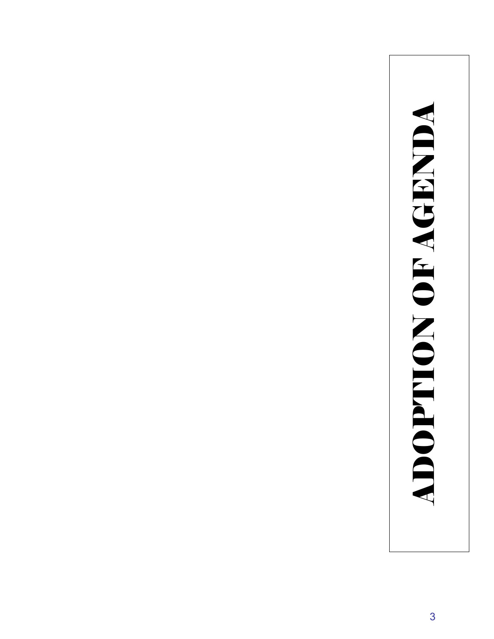# **ADOPTION OF AGENDA** ADOPTION OF AGENDA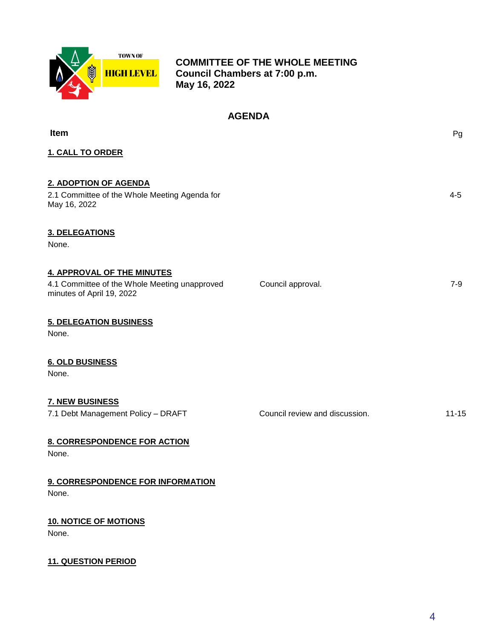

 **COMMITTEE OF THE WHOLE MEETING Council Chambers at 7:00 p.m. May 16, 2022**

### **AGENDA**

| Item                                                                                                            |                                | Pg        |
|-----------------------------------------------------------------------------------------------------------------|--------------------------------|-----------|
| <b>1. CALL TO ORDER</b>                                                                                         |                                |           |
| 2. ADOPTION OF AGENDA<br>2.1 Committee of the Whole Meeting Agenda for<br>May 16, 2022                          |                                | $4 - 5$   |
| <b>3. DELEGATIONS</b><br>None.                                                                                  |                                |           |
| <b>4. APPROVAL OF THE MINUTES</b><br>4.1 Committee of the Whole Meeting unapproved<br>minutes of April 19, 2022 | Council approval.              | $7 - 9$   |
| <b>5. DELEGATION BUSINESS</b><br>None.                                                                          |                                |           |
| <b>6. OLD BUSINESS</b><br>None.                                                                                 |                                |           |
| <b>7. NEW BUSINESS</b><br>7.1 Debt Management Policy - DRAFT                                                    | Council review and discussion. | $11 - 15$ |
| <b>8. CORRESPONDENCE FOR ACTION</b><br>None.                                                                    |                                |           |
| 9. CORRESPONDENCE FOR INFORMATION<br>None.                                                                      |                                |           |
| <b>10. NOTICE OF MOTIONS</b><br>None.                                                                           |                                |           |
| <b>11. QUESTION PERIOD</b>                                                                                      |                                |           |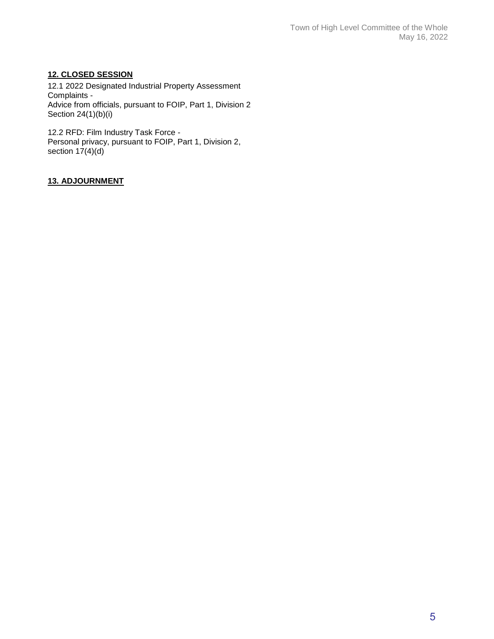### **12. CLOSED SESSION**

12.1 2022 Designated Industrial Property Assessment Complaints - Advice from officials, pursuant to FOIP, Part 1, Division 2 Section 24(1)(b)(i)

12.2 RFD: Film Industry Task Force - Personal privacy, pursuant to FOIP, Part 1, Division 2, section  $17(4)(d)$ 

### **13. ADJOURNMENT**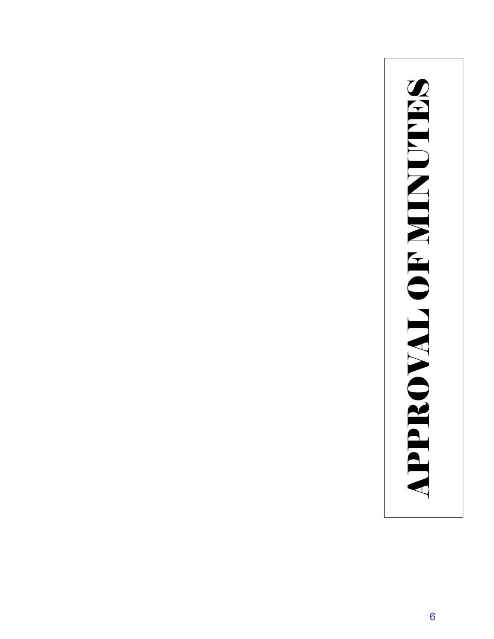# **APPROVAL OF MINUTES** APPROVAL OF MINUTES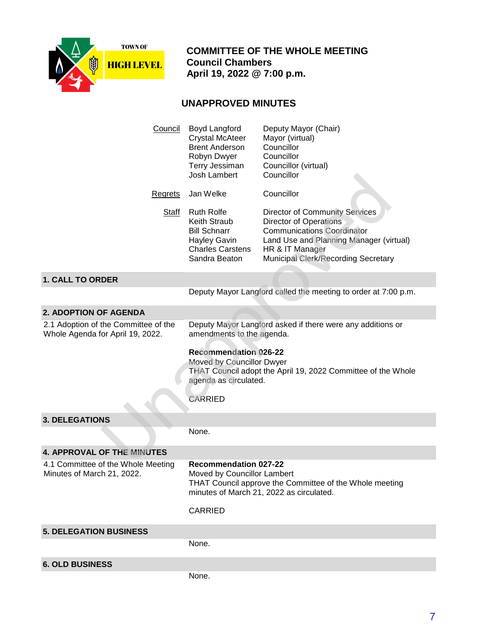

 **COMMITTEE OF THE WHOLE MEETING Council Chambers April 19, 2022 @ 7:00 p.m.**

### **UNAPPROVED MINUTES**

| Council                                                                  | Boyd Langford<br><b>Crystal McAteer</b><br><b>Brent Anderson</b><br>Robyn Dwyer<br>Terry Jessiman<br>Josh Lambert                                                    | Deputy Mayor (Chair)<br>Mayor (virtual)<br>Councillor<br>Councillor<br>Councillor (virtual)<br>Councillor                                                                                                 |
|--------------------------------------------------------------------------|----------------------------------------------------------------------------------------------------------------------------------------------------------------------|-----------------------------------------------------------------------------------------------------------------------------------------------------------------------------------------------------------|
| <b>Regrets</b>                                                           | Jan Welke                                                                                                                                                            | Councillor                                                                                                                                                                                                |
| <b>Staff</b>                                                             | <b>Ruth Rolfe</b><br><b>Keith Straub</b><br><b>Bill Schnarr</b><br><b>Hayley Gavin</b><br><b>Charles Carstens</b><br>Sandra Beaton                                   | Director of Community Services<br><b>Director of Operations</b><br><b>Communications Coordinator</b><br>Land Use and Planning Manager (virtual)<br>HR & IT Manager<br>Municipal Clerk/Recording Secretary |
| <b>1. CALL TO ORDER</b>                                                  |                                                                                                                                                                      |                                                                                                                                                                                                           |
|                                                                          |                                                                                                                                                                      | Deputy Mayor Langford called the meeting to order at 7:00 p.m.                                                                                                                                            |
| <b>2. ADOPTION OF AGENDA</b>                                             |                                                                                                                                                                      |                                                                                                                                                                                                           |
| 2.1 Adoption of the Committee of the<br>Whole Agenda for April 19, 2022. | Deputy Mayor Langford asked if there were any additions or<br>amendments to the agenda.                                                                              |                                                                                                                                                                                                           |
|                                                                          | <b>Recommendation 026-22</b><br>Moved by Councillor Dwyer<br>THAT Council adopt the April 19, 2022 Committee of the Whole<br>agenda as circulated.<br><b>CARRIED</b> |                                                                                                                                                                                                           |
|                                                                          |                                                                                                                                                                      |                                                                                                                                                                                                           |
| <b>3. DELEGATIONS</b>                                                    | None.                                                                                                                                                                |                                                                                                                                                                                                           |
|                                                                          |                                                                                                                                                                      |                                                                                                                                                                                                           |
| <b>4. APPROVAL OF THE MINUTES</b>                                        |                                                                                                                                                                      |                                                                                                                                                                                                           |
| 4.1 Committee of the Whole Meeting<br>Minutes of March 21, 2022.         | <b>Recommendation 027-22</b><br>Moved by Councillor Lambert<br>THAT Council approve the Committee of the Whole meeting<br>minutes of March 21, 2022 as circulated.   |                                                                                                                                                                                                           |
|                                                                          | CARRIED                                                                                                                                                              |                                                                                                                                                                                                           |
| <b>5. DELEGATION BUSINESS</b>                                            |                                                                                                                                                                      |                                                                                                                                                                                                           |
|                                                                          | None.                                                                                                                                                                |                                                                                                                                                                                                           |
| <b>6. OLD BUSINESS</b>                                                   |                                                                                                                                                                      |                                                                                                                                                                                                           |
|                                                                          | None.                                                                                                                                                                |                                                                                                                                                                                                           |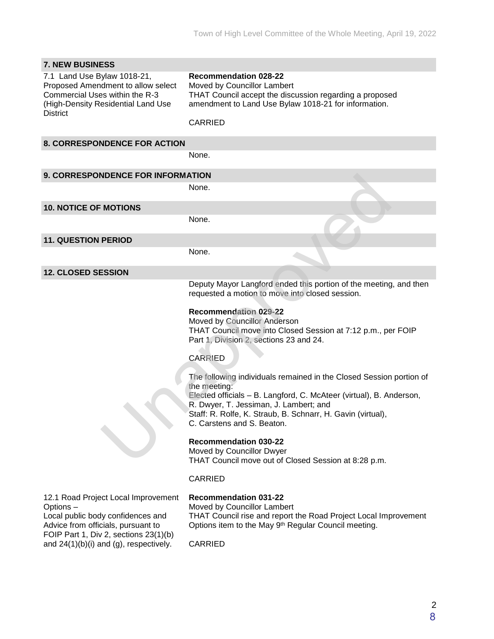| <b>7. NEW BUSINESS</b>                                                                                                                                              |                                                                                                                                                                                                                                                                                                                                                                                                                                                                                                                           |
|---------------------------------------------------------------------------------------------------------------------------------------------------------------------|---------------------------------------------------------------------------------------------------------------------------------------------------------------------------------------------------------------------------------------------------------------------------------------------------------------------------------------------------------------------------------------------------------------------------------------------------------------------------------------------------------------------------|
| 7.1 Land Use Bylaw 1018-21,<br>Proposed Amendment to allow select<br>Commercial Uses within the R-3<br>(High-Density Residential Land Use<br><b>District</b>        | <b>Recommendation 028-22</b><br>Moved by Councillor Lambert<br>THAT Council accept the discussion regarding a proposed<br>amendment to Land Use Bylaw 1018-21 for information.<br><b>CARRIED</b>                                                                                                                                                                                                                                                                                                                          |
| <b>8. CORRESPONDENCE FOR ACTION</b>                                                                                                                                 |                                                                                                                                                                                                                                                                                                                                                                                                                                                                                                                           |
|                                                                                                                                                                     | None.                                                                                                                                                                                                                                                                                                                                                                                                                                                                                                                     |
| <b>9. CORRESPONDENCE FOR INFORMATION</b>                                                                                                                            |                                                                                                                                                                                                                                                                                                                                                                                                                                                                                                                           |
|                                                                                                                                                                     | None.                                                                                                                                                                                                                                                                                                                                                                                                                                                                                                                     |
| <b>10. NOTICE OF MOTIONS</b>                                                                                                                                        |                                                                                                                                                                                                                                                                                                                                                                                                                                                                                                                           |
|                                                                                                                                                                     | None.                                                                                                                                                                                                                                                                                                                                                                                                                                                                                                                     |
| <b>11. QUESTION PERIOD</b>                                                                                                                                          |                                                                                                                                                                                                                                                                                                                                                                                                                                                                                                                           |
|                                                                                                                                                                     | None.                                                                                                                                                                                                                                                                                                                                                                                                                                                                                                                     |
| <b>12. CLOSED SESSION</b>                                                                                                                                           |                                                                                                                                                                                                                                                                                                                                                                                                                                                                                                                           |
|                                                                                                                                                                     | Deputy Mayor Langford ended this portion of the meeting, and then<br>requested a motion to move into closed session.<br><b>Recommendation 029-22</b><br>Moved by Councillor Anderson<br>THAT Council move into Closed Session at 7:12 p.m., per FOIP<br>Part 1, Division 2, sections 23 and 24.<br><b>CARRIED</b><br>The following individuals remained in the Closed Session portion of<br>the meeting:<br>Elected officials - B. Langford, C. McAteer (virtual), B. Anderson,<br>R. Dwyer, T. Jessiman, J. Lambert; and |
|                                                                                                                                                                     | Staff: R. Rolfe, K. Straub, B. Schnarr, H. Gavin (virtual),<br>C. Carstens and S. Beaton.<br><b>Recommendation 030-22</b><br>Moved by Councillor Dwyer<br>THAT Council move out of Closed Session at 8:28 p.m.                                                                                                                                                                                                                                                                                                            |
|                                                                                                                                                                     | <b>CARRIED</b>                                                                                                                                                                                                                                                                                                                                                                                                                                                                                                            |
| 12.1 Road Project Local Improvement<br>Options-<br>Local public body confidences and<br>Advice from officials, pursuant to<br>FOIP Part 1, Div 2, sections 23(1)(b) | <b>Recommendation 031-22</b><br>Moved by Councillor Lambert<br>THAT Council rise and report the Road Project Local Improvement<br>Options item to the May 9 <sup>th</sup> Regular Council meeting.                                                                                                                                                                                                                                                                                                                        |
| and $24(1)(b)(i)$ and (g), respectively.                                                                                                                            | <b>CARRIED</b>                                                                                                                                                                                                                                                                                                                                                                                                                                                                                                            |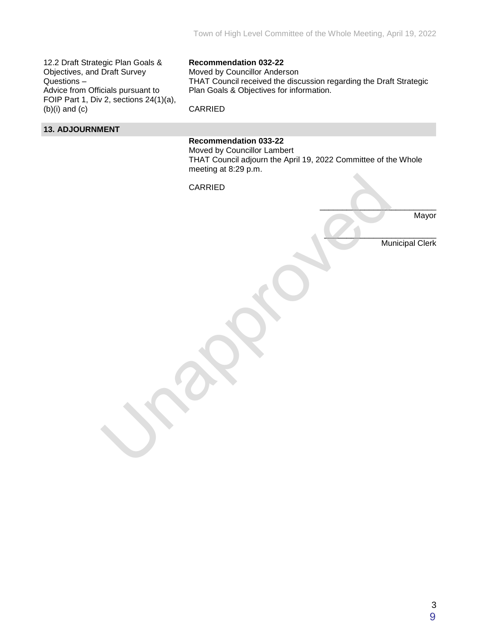12.2 Draft Strategic Plan Goals & Objectives, and Draft Survey Questions – Advice from Officials pursuant to FOIP Part 1, Div 2, sections 24(1)(a),  $(b)(i)$  and  $(c)$ 

### **Recommendation 032-22**

Moved by Councillor Anderson THAT Council received the discussion regarding the Draft Strategic Plan Goals & Objectives for information.

CARRIED

### **13. ADJOURNMENT**

### **Recommendation 033-22**

Moved by Councillor Lambert THAT Council adjourn the April 19, 2022 Committee of the Whole meeting at 8:29 p.m.

CARRIED Una CARRIED CARRIED

Mayor

Municipal Clerk

 $\frac{1}{2}$  ,  $\frac{1}{2}$  ,  $\frac{1}{2}$  ,  $\frac{1}{2}$  ,  $\frac{1}{2}$  ,  $\frac{1}{2}$  ,  $\frac{1}{2}$  ,  $\frac{1}{2}$  ,  $\frac{1}{2}$  ,  $\frac{1}{2}$ 

 $\overline{\phantom{a}}$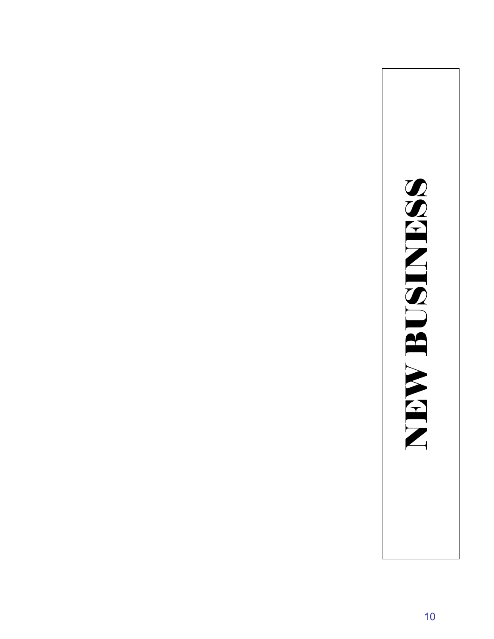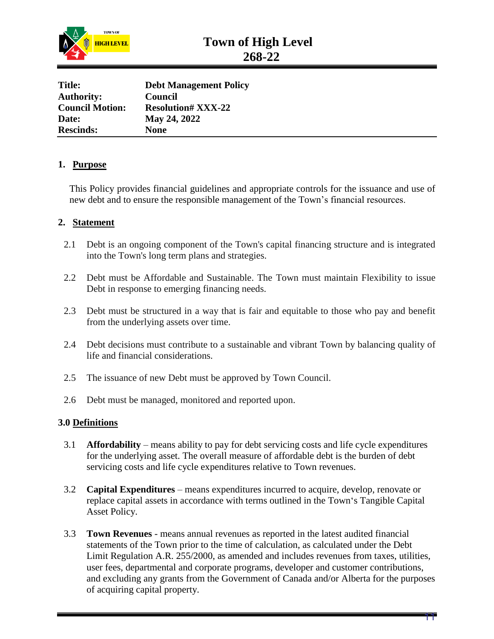

| <b>Debt Management Policy</b> |  |
|-------------------------------|--|
| Council                       |  |
| <b>Resolution# XXX-22</b>     |  |
| May 24, 2022                  |  |
| <b>None</b>                   |  |
|                               |  |

### **1. Purpose**

This Policy provides financial guidelines and appropriate controls for the issuance and use of new debt and to ensure the responsible management of the Town's financial resources.

### **2. Statement**

- 2.1 Debt is an ongoing component of the Town's capital financing structure and is integrated into the Town's long term plans and strategies.
- 2.2 Debt must be Affordable and Sustainable. The Town must maintain Flexibility to issue Debt in response to emerging financing needs.
- 2.3 Debt must be structured in a way that is fair and equitable to those who pay and benefit from the underlying assets over time.
- 2.4 Debt decisions must contribute to a sustainable and vibrant Town by balancing quality of life and financial considerations.
- 2.5 The issuance of new Debt must be approved by Town Council.
- 2.6 Debt must be managed, monitored and reported upon.

### **3.0 Definitions**

- 3.1 **Affordability** means ability to pay for debt servicing costs and life cycle expenditures for the underlying asset. The overall measure of affordable debt is the burden of debt servicing costs and life cycle expenditures relative to Town revenues.
- 3.2 **Capital Expenditures** means expenditures incurred to acquire, develop, renovate or replace capital assets in accordance with terms outlined in the Town's Tangible Capital Asset Policy.
- 3.3 **Town Revenues** means annual revenues as reported in the latest audited financial statements of the Town prior to the time of calculation, as calculated under the Debt Limit Regulation A.R. 255/2000, as amended and includes revenues from taxes, utilities, user fees, departmental and corporate programs, developer and customer contributions, and excluding any grants from the Government of Canada and/or Alberta for the purposes of acquiring capital property.

11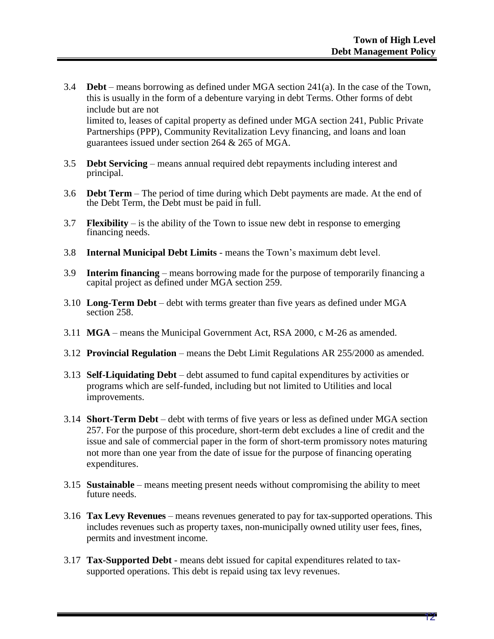- 3.4 **Debt** means borrowing as defined under MGA section 241(a). In the case of the Town, this is usually in the form of a debenture varying in debt Terms. Other forms of debt include but are not limited to, leases of capital property as defined under MGA section 241, Public Private Partnerships (PPP), Community Revitalization Levy financing, and loans and loan guarantees issued under section 264 & 265 of MGA.
- 3.5 **Debt Servicing** means annual required debt repayments including interest and principal.
- 3.6 **Debt Term** The period of time during which Debt payments are made. At the end of the Debt Term, the Debt must be paid in full.
- 3.7 **Flexibility** is the ability of the Town to issue new debt in response to emerging financing needs.
- 3.8 **Internal Municipal Debt Limits** means the Town's maximum debt level.
- 3.9 **Interim financing** means borrowing made for the purpose of temporarily financing a capital project as defined under MGA section 259.
- 3.10 **Long-Term Debt** debt with terms greater than five years as defined under MGA section 258.
- 3.11 **MGA** means the Municipal Government Act, RSA 2000, c M-26 as amended.
- 3.12 **Provincial Regulation** means the Debt Limit Regulations AR 255/2000 as amended.
- 3.13 **Self-Liquidating Debt** debt assumed to fund capital expenditures by activities or programs which are self-funded, including but not limited to Utilities and local improvements.
- 3.14 **Short-Term Debt** debt with terms of five years or less as defined under MGA section 257. For the purpose of this procedure, short-term debt excludes a line of credit and the issue and sale of commercial paper in the form of short-term promissory notes maturing not more than one year from the date of issue for the purpose of financing operating expenditures.
- 3.15 **Sustainable** means meeting present needs without compromising the ability to meet future needs.
- 3.16 **Tax Levy Revenues** means revenues generated to pay for tax-supported operations. This includes revenues such as property taxes, non-municipally owned utility user fees, fines, permits and investment income.
- 3.17 **Tax-Supported Debt**  means debt issued for capital expenditures related to taxsupported operations. This debt is repaid using tax levy revenues.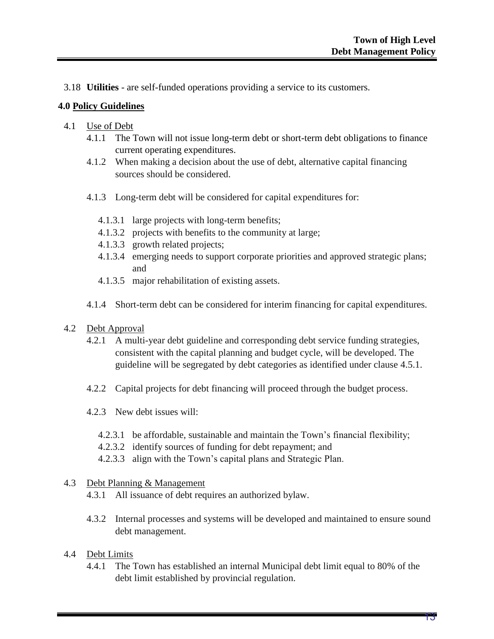3.18 **Utilities** - are self-funded operations providing a service to its customers.

### **4.0 Policy Guidelines**

- 4.1 Use of Debt
	- 4.1.1 The Town will not issue long-term debt or short-term debt obligations to finance current operating expenditures.
	- 4.1.2 When making a decision about the use of debt, alternative capital financing sources should be considered.
	- 4.1.3 Long-term debt will be considered for capital expenditures for:
		- 4.1.3.1 large projects with long-term benefits;
		- 4.1.3.2 projects with benefits to the community at large;
		- 4.1.3.3 growth related projects;
		- 4.1.3.4 emerging needs to support corporate priorities and approved strategic plans; and
		- 4.1.3.5 major rehabilitation of existing assets.
	- 4.1.4 Short-term debt can be considered for interim financing for capital expenditures.
- 4.2 Debt Approval
	- 4.2.1 A multi-year debt guideline and corresponding debt service funding strategies, consistent with the capital planning and budget cycle, will be developed. The guideline will be segregated by debt categories as identified under clause 4.5.1.
	- 4.2.2 Capital projects for debt financing will proceed through the budget process.
	- 4.2.3 New debt issues will:
		- 4.2.3.1 be affordable, sustainable and maintain the Town's financial flexibility;
		- 4.2.3.2 identify sources of funding for debt repayment; and
		- 4.2.3.3 align with the Town's capital plans and Strategic Plan.

### 4.3 Debt Planning & Management

- 4.3.1 All issuance of debt requires an authorized bylaw.
- 4.3.2 Internal processes and systems will be developed and maintained to ensure sound debt management.

### 4.4 Debt Limits

4.4.1 The Town has established an internal Municipal debt limit equal to 80% of the debt limit established by provincial regulation.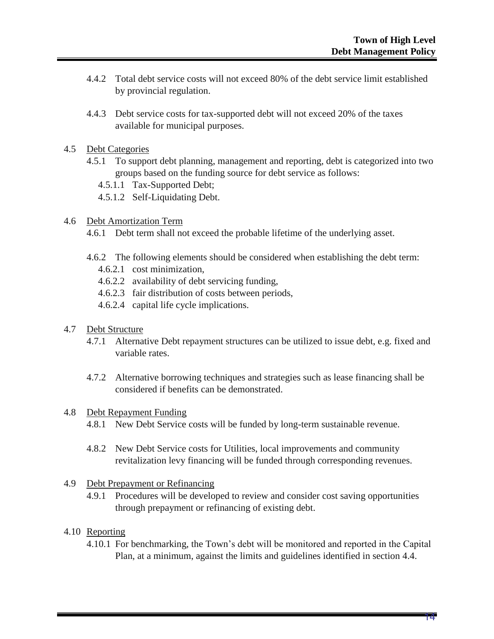- 4.4.2 Total debt service costs will not exceed 80% of the debt service limit established by provincial regulation.
- 4.4.3 Debt service costs for tax-supported debt will not exceed 20% of the taxes available for municipal purposes.
- 4.5 Debt Categories
	- 4.5.1 To support debt planning, management and reporting, debt is categorized into two groups based on the funding source for debt service as follows:
		- 4.5.1.1 Tax-Supported Debt;
		- 4.5.1.2 Self-Liquidating Debt.

### 4.6 Debt Amortization Term

- 4.6.1 Debt term shall not exceed the probable lifetime of the underlying asset.
- 4.6.2 The following elements should be considered when establishing the debt term:
	- 4.6.2.1 cost minimization,
	- 4.6.2.2 availability of debt servicing funding,
	- 4.6.2.3 fair distribution of costs between periods,
	- 4.6.2.4 capital life cycle implications.
- 4.7 Debt Structure
	- 4.7.1 Alternative Debt repayment structures can be utilized to issue debt, e.g. fixed and variable rates.
	- 4.7.2 Alternative borrowing techniques and strategies such as lease financing shall be considered if benefits can be demonstrated.

### 4.8 Debt Repayment Funding

- 4.8.1 New Debt Service costs will be funded by long-term sustainable revenue.
- 4.8.2 New Debt Service costs for Utilities, local improvements and community revitalization levy financing will be funded through corresponding revenues.

### 4.9 Debt Prepayment or Refinancing

4.9.1 Procedures will be developed to review and consider cost saving opportunities through prepayment or refinancing of existing debt.

### 4.10 Reporting

4.10.1 For benchmarking, the Town's debt will be monitored and reported in the Capital Plan, at a minimum, against the limits and guidelines identified in section 4.4.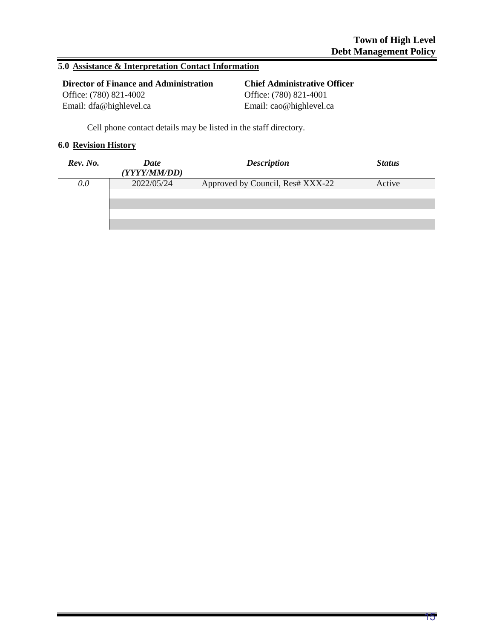### **5.0 Assistance & Interpretation Contact Information**

| <b>Director of Finance and Administration</b> | <b>Chief Administrative Officer</b> |
|-----------------------------------------------|-------------------------------------|
| Office: (780) 821-4002                        | Office: (780) 821-4001              |
| Email: dfa@highlevel.ca                       | Email: cao@highlevel.ca             |

Cell phone contact details may be listed in the staff directory.

### **6.0 Revision History**

| Rev. No. | Date<br>(YYYY/MM/DD) | <b>Description</b>               | <b>Status</b> |
|----------|----------------------|----------------------------------|---------------|
| 0.0      | 2022/05/24           | Approved by Council, Res# XXX-22 | Active        |
|          |                      |                                  |               |